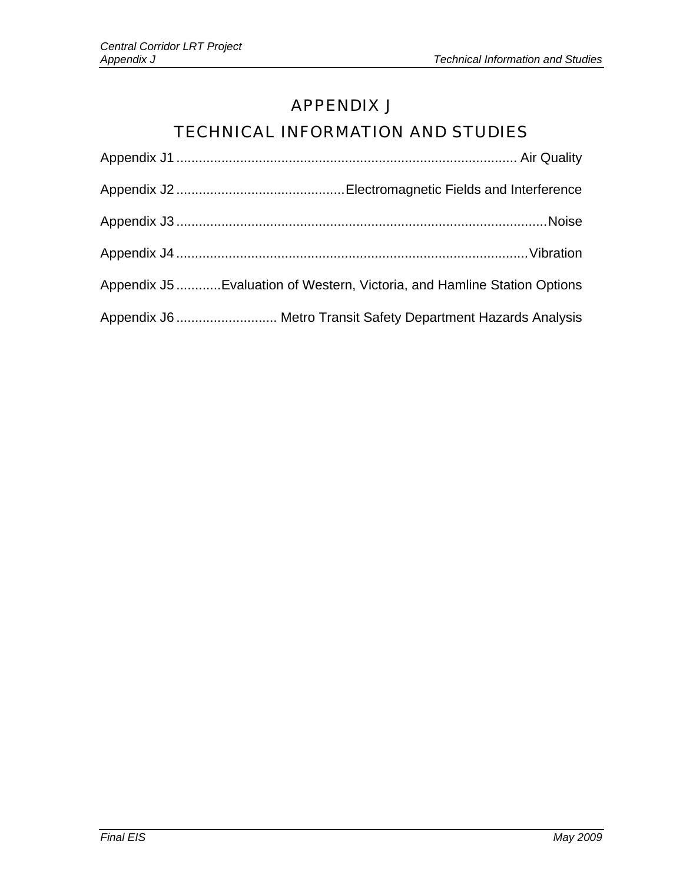# APPENDIX J

# TECHNICAL INFORMATION AND STUDIES

| Appendix J5 Evaluation of Western, Victoria, and Hamline Station Options |
|--------------------------------------------------------------------------|
| Appendix J6  Metro Transit Safety Department Hazards Analysis            |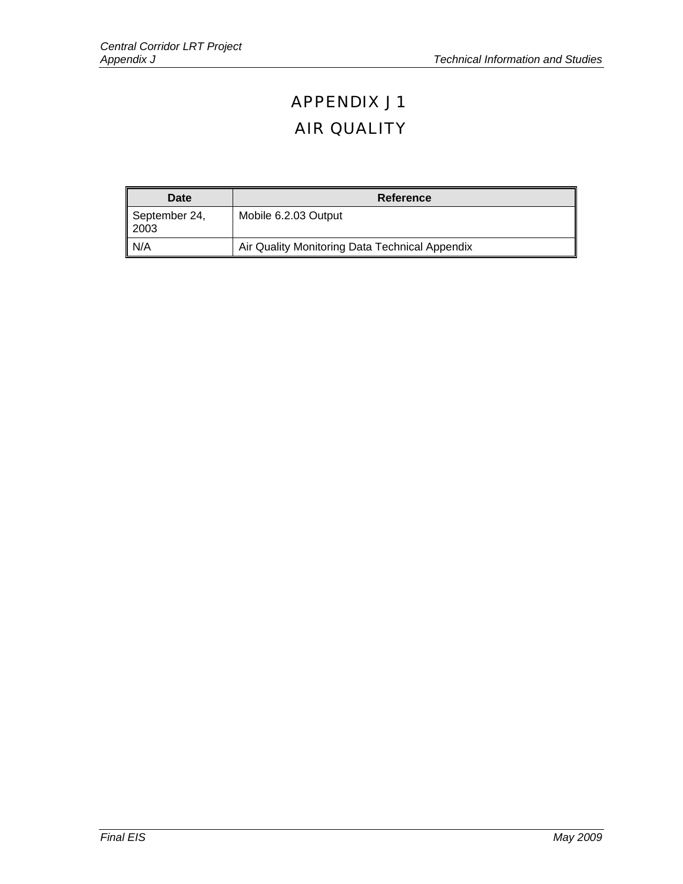# APPENDIX J1 AIR QUALITY

| Date                    | Reference                                      |
|-------------------------|------------------------------------------------|
| September 24,<br>  2003 | Mobile 6.2.03 Output                           |
| $\mathsf{N}/\mathsf{A}$ | Air Quality Monitoring Data Technical Appendix |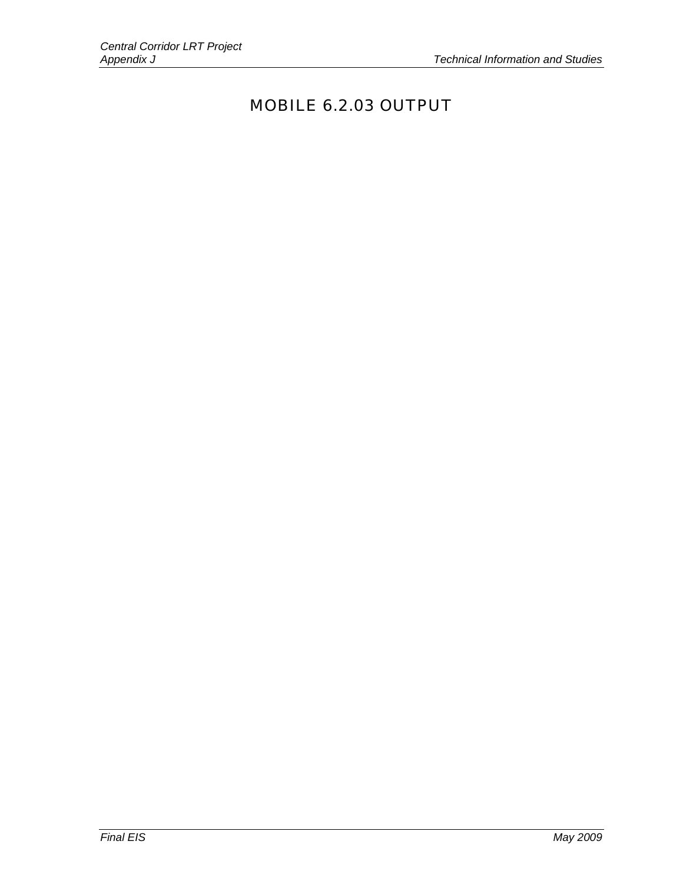# MOBILE 6.2.03 OUTPUT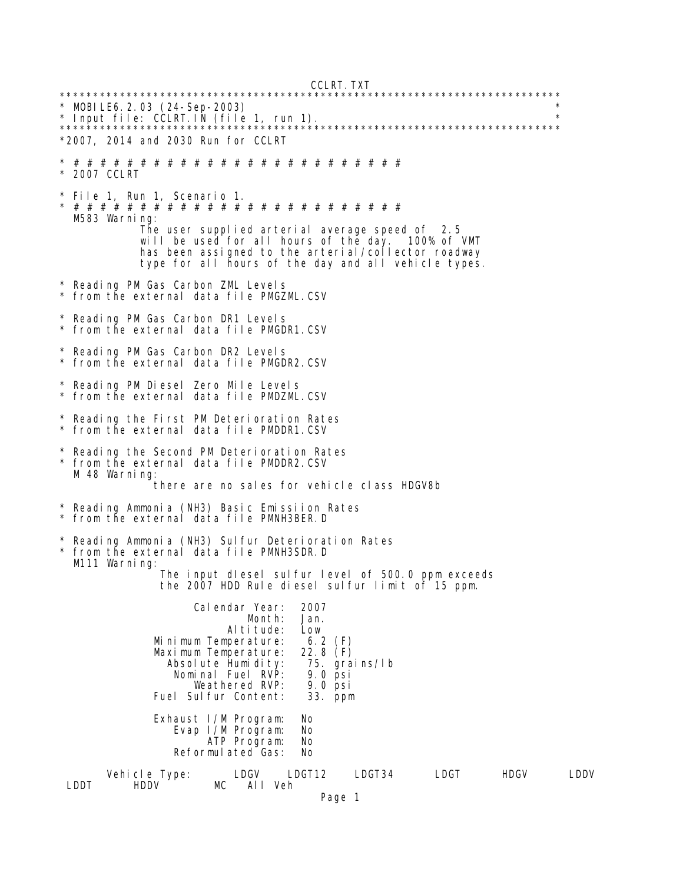CCLRT.TXT

\*\*\*\*\*\*\*\*\*\*\*\*\*\*\*\*\*\*\*\*\*\*\*\*\*\*\*\*\*\*\*\*\*\*\*\*\*\*\*\*\*\*\*\*\*\*\*\*\*\*\*\*\*\*\*\*\*\*\*\*\*\*\*\*\*\*\*\*\*\*\*\*\*\*\* \* MOBILE6.2.03 (24-Sep-2003) \* \* Input file: CCLRT.IN (file 1, run 1). \* \*\*\*\*\*\*\*\*\*\*\*\*\*\*\*\*\*\*\*\*\*\*\*\*\*\*\*\*\*\*\*\*\*\*\*\*\*\*\*\*\*\*\*\*\*\*\*\*\*\*\*\*\*\*\*\*\*\*\*\*\*\*\*\*\*\*\*\*\*\*\*\*\*\*\* \*2007, 2014 and 2030 Run for CCLRT \* # # # # # # # # # # # # # # # # # # # # # # # # # \* 2007 CCLRT \* File 1, Run 1, Scenario 1. \* # # # # # # # # # # # # # # # # # # # # # # # # # M583 Warning: The user supplied arterial average speed of 2.5 will be used for all hours of the day. 100% of VMT has been assigned to the arterial/collector roadway type for all hours of the day and all vehicle types. \* Reading PM Gas Carbon ZML Levels from the external data file PMGZML.CSV \* Reading PM Gas Carbon DR1 Levels from the external data file PMGDR1.CSV \* Reading PM Gas Carbon DR2 Levels \* from the external data file PMGDR2.CSV \* Reading PM Diesel Zero Mile Levels from the external data file PMDZML.CSV Reading the First PM Deterioration Rates from the external data file PMDDR1.CSV \* Reading the Second PM Deterioration Rates from the external data file PMDDR2.CSV M 48 Warning: there are no sales for vehicle class HDGV8b \* Reading Ammonia (NH3) Basic Emissiion Rates from the external data file PMNH3BER.D Reading Ammonia (NH3) Sulfur Deterioration Rates \* from the external data file PMNH3SDR.D M111 Warning: The input dIesel sulfur level of 500.0 ppm exceeds the 2007 HDD Rule diesel sulfur limit of 15 ppm. Calendar Year: 2007 Month: Altitude: Low<br>perature: 6.2 (F) Minimum Temperature: 6.2 (F)<br>Maximum Temperature: 22.8 (F) Maximum Temperature: 22.8 (F)<br>Absolute Humidity: 75. grains/lb Absolute Humidity: 75. gra<br>Nominal Fuel RVP: 9.0 psi Nominal Fuel RVP: 9.0 psi<br>Weathered RVP: 9.0 psi Weathered RVP: 9.0 psi<br>Sulfur Content: 33. ppm Fuel Sulfur Content: Exhaust I/M Program: No Evap I/M Program: ATP Program: No Reformulated Gas: No Vehicle Type: LDGV LDGT12 LDGT34 LDGT HDGV LDDV All Veh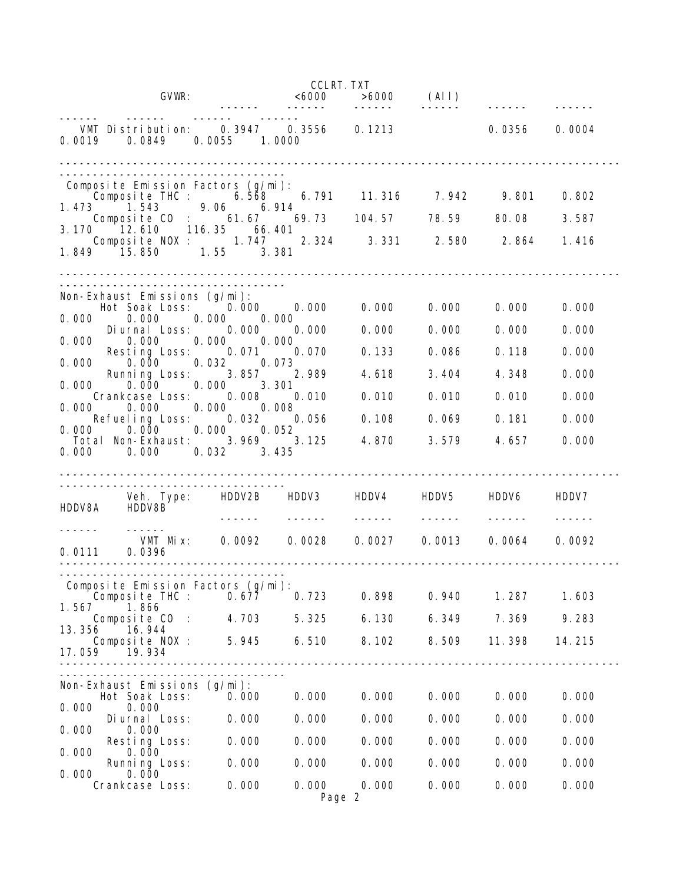|                                                                                                             | <b>CCLRT. TXT</b>                     |                       |                |                |                |
|-------------------------------------------------------------------------------------------------------------|---------------------------------------|-----------------------|----------------|----------------|----------------|
| GVWR:                                                                                                       |                                       | $<6000$ $>6000$ (AII) |                |                |                |
| VMT Distribution:<br>0.0019<br>0.0849<br>0.0055 1.0000                                                      | -------<br>$0.3947$ $0.3556$ $0.1213$ | $- - - - - -$         |                | 0. 0356        | 0.0004         |
|                                                                                                             |                                       |                       |                |                |                |
| Composite Emission Factors (g/mi):<br>Composite THC: 6.568 6.791 11.316 7.942 9.801<br>1.473 1.543          |                                       |                       |                |                | 0.802          |
| 3 1.543 9.06 6.914<br>Composite C0 : 61.67 69.73 104.57 78.59                                               |                                       |                       |                | 80.08          | 3.587          |
| 3.170 12.610 116.35 66.401<br>Composite NOX: 1.747 2.324 3.331 2.580 2.864 1.416<br>1.849 15.850 1.55 3.381 |                                       |                       |                |                |                |
|                                                                                                             |                                       |                       |                |                |                |
| Non-Exhaust Emissions (g/mi):<br>Hot Soak Loss: 0.000 0.000<br>0.000<br>0.00000000                          |                                       | 0.000                 | 0.000          | 0.000          | 0.000          |
| 0.000<br>Diurnal Loss:<br>0.000<br>0.000<br>0.000<br>0.000 0.000                                            | 0.000                                 | 0.000                 | 0.000          | 0.000          | 0.000          |
| Resting Loss: 0.071<br>$0.000$ $0.032$ $0.073$<br>0.000                                                     | 0.070                                 | 0.133                 | 0.086          | 0.118          | 0.000          |
| Running Loss: 3.857<br>0.000 3.301<br>0.000<br>0. 000                                                       | 2.989                                 | 4.618                 | 3.404          | 4.348          | 0.000          |
| 0.008<br>Crankcase Loss:<br>0.000<br>0.000<br>0.000                                                         | 0.010<br>0.008                        | 0.010                 | 0.010          | 0.010          | 0.000          |
| Refueling Loss: 0.032<br>$0.000$ $0.000$ $0.000$ $0.052$                                                    | 0.056                                 | 0.108                 | 0.069          | 0.181          | 0.000          |
| Total Non-Exhaust: 3.969 3.125<br>0.000 0.032 3.435<br>0.000                                                |                                       | 4.870                 | 3.579          | 4.657          | 0.000          |
| Veh. Type: HDDV2B HDDV3 HDDV4<br>HDDV8A HDDV8B                                                              |                                       |                       | HDDV5          | HDDV6          | HDDV7          |
| VMT Mix: 0.0092 0.0028 0.0027<br>0.0111 0.0396<br><u>__________</u>                                         |                                       |                       |                | 0.0013 0.0064  | 0.0092         |
|                                                                                                             |                                       |                       |                |                |                |
| Composite Emission Factors (g/mi):<br>Composite THC :<br>0.677<br>1.567<br>1.866                            | 0.723                                 | 0.898                 | 0.940          | 1.287          | 1.603          |
| Composite CO :<br>4.703<br>13.356<br>16.944                                                                 | 5.325                                 | 6.130                 | 6.349          | 7.369          | 9.283          |
| Composite NOX:<br>5.945<br>17.059<br>19.934                                                                 | 6.510                                 | 8.102                 | 8.509          | 11.398         | 14.215         |
|                                                                                                             |                                       |                       |                |                |                |
| Non-Exhaust Emissions (g/mi):                                                                               |                                       |                       |                |                |                |
| Hot Soak Loss:<br>0.000<br>0.000<br>0.000                                                                   | 0.000                                 | 0.000                 | 0.000          | 0.000          | 0.000          |
| 0.000<br>Di urnal Loss:<br>0.000<br>0.000                                                                   | 0.000                                 | 0.000                 | 0.000          | 0.000          | 0.000          |
| 0.000<br>Resting Loss:<br>0.000<br>0.000                                                                    | 0.000                                 | 0.000                 | 0.000          | 0.000          | 0.000          |
| 0.000<br>Running Loss:<br>0.000<br>0.000<br>0.000<br>Crankcase Loss:                                        | 0.000<br>0.000                        | 0.000<br>0.000        | 0.000<br>0.000 | 0.000<br>0.000 | 0.000<br>0.000 |
|                                                                                                             |                                       | Page 2                |                |                |                |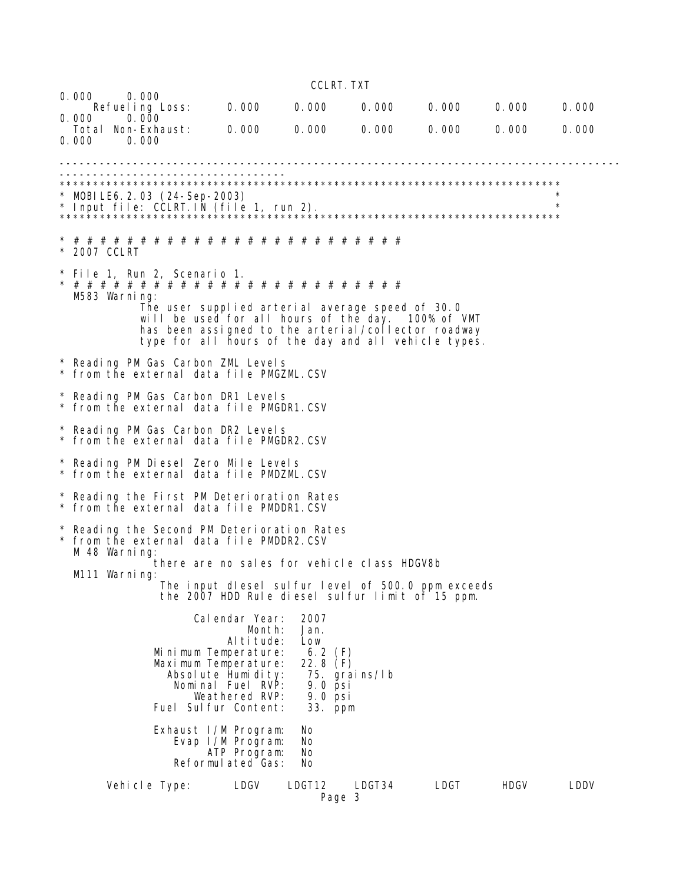CCLRT.TXT

| 0.000<br>0.000 | 0.000<br>Refuel ing Loss:<br>0.000 |                                | 0.000                                                                                                                                                                                                                 | 0.000                   | 0.000         | 0.000 | 0.000       | 0.000    |
|----------------|------------------------------------|--------------------------------|-----------------------------------------------------------------------------------------------------------------------------------------------------------------------------------------------------------------------|-------------------------|---------------|-------|-------------|----------|
| 0.000          | Total Non-Exhaust:<br>0.000        |                                | 0.000                                                                                                                                                                                                                 | 0.000                   | 0.000         | 0.000 | 0.000       | 0.000    |
|                |                                    |                                |                                                                                                                                                                                                                       |                         |               |       |             |          |
|                |                                    | $*$ MOBILE6.2.03 (24-Sep-2003) |                                                                                                                                                                                                                       |                         |               |       |             |          |
|                |                                    |                                |                                                                                                                                                                                                                       |                         |               |       |             | $^\star$ |
| * 2007 CCLRT   |                                    |                                |                                                                                                                                                                                                                       |                         |               |       |             |          |
|                | M583 Warning:                      | * File 1, Run 2, Scenario 1.   |                                                                                                                                                                                                                       |                         |               |       |             |          |
|                |                                    |                                | The user supplied arterial average speed of 30.0<br>will be used for all hours of the day. 100% of VMT<br>has been assigned to the arterial/collector roadway<br>type for all hours of the day and all vehicle types. |                         |               |       |             |          |
|                |                                    |                                | * Reading PM Gas Carbon ZML Levels<br>* from the external data file PMGZML.CSV                                                                                                                                        |                         |               |       |             |          |
|                |                                    |                                | * Reading PM Gas Carbon DR1 Levels<br>* from the external data file PMGDR1.CSV                                                                                                                                        |                         |               |       |             |          |
|                |                                    |                                | * Reading PM Gas Carbon DR2 Levels<br>* from the external data file PMGDR2.CSV                                                                                                                                        |                         |               |       |             |          |
|                |                                    |                                | * Reading PM Diesel Zero Mile Levels<br>* from the external data file PMDZML.CSV                                                                                                                                      |                         |               |       |             |          |
|                |                                    |                                | * Reading the First PM Deterioration Rates<br>* from the external data file PMDDR1.CSV                                                                                                                                |                         |               |       |             |          |
|                |                                    |                                | * Reading the Second PM Deterioration Rates<br>* from the external data file PMDDR2.CSV                                                                                                                               |                         |               |       |             |          |
|                | M 48 Warning:<br>M111 Warning:     |                                | there are no sales for vehicle class HDGV8b                                                                                                                                                                           |                         |               |       |             |          |
|                |                                    |                                | The input dlesel sulfur level of 500.0 ppm exceeds<br>the 2007 HDD Rule diesel sulfur limit of 15 ppm.                                                                                                                |                         |               |       |             |          |
|                |                                    |                                | Cal endar Year:<br>Month:                                                                                                                                                                                             | 2007<br>Jan.            |               |       |             |          |
|                |                                    |                                | Al ti tude:                                                                                                                                                                                                           | Low<br>6.2(F)           |               |       |             |          |
|                |                                    |                                | Mi ni mum Temperature:<br>Maximum Temperature:                                                                                                                                                                        | 22.8 $(F)$              |               |       |             |          |
|                |                                    |                                | Absolute Humidity:<br>Nominal Fuel RVP:                                                                                                                                                                               | $9.0$ $\overline{p}$ si | 75. grains/Ib |       |             |          |
|                |                                    |                                | Weathered RVP:<br>Fuel Sul fur Content:                                                                                                                                                                               | $9.0$ psi<br>33. ppm    |               |       |             |          |
|                |                                    |                                | Exhaust I/M Program:<br>Evap I/M Program:<br>ATP Program:<br>Reformulated Gas:                                                                                                                                        | No<br>No<br>No<br>No    |               |       |             |          |
|                | Vehicle Type:                      |                                | LDGV                                                                                                                                                                                                                  | LDGT12<br>Page 3        | LDGT34        | LDGT  | <b>HDGV</b> | LDDV     |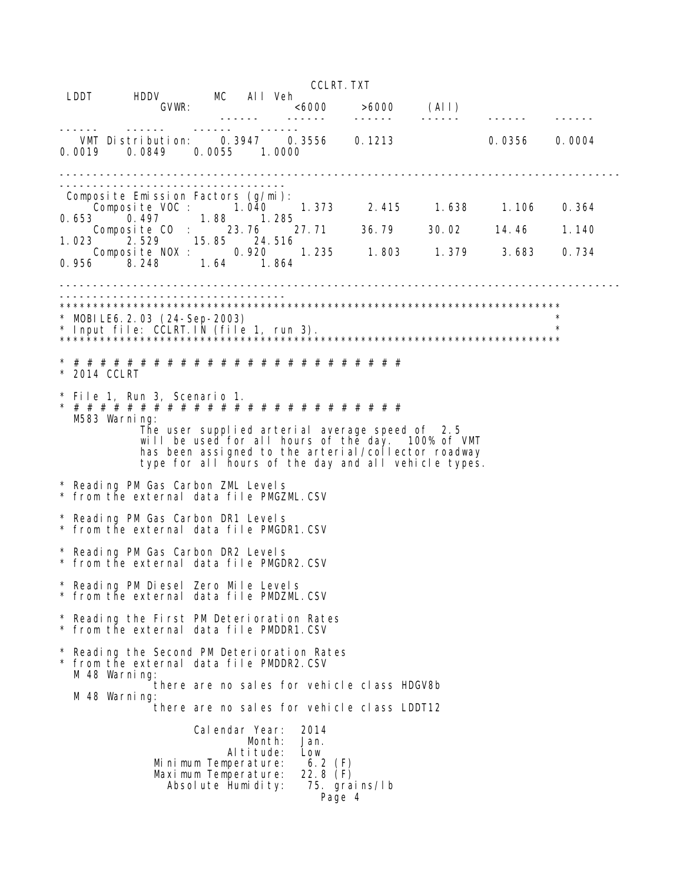|                                |                                                                                                                    |                                      |                       |                                                                                                                                                                                                                      | <b>CCLRT. TXT</b>                    |       |                   |                |
|--------------------------------|--------------------------------------------------------------------------------------------------------------------|--------------------------------------|-----------------------|----------------------------------------------------------------------------------------------------------------------------------------------------------------------------------------------------------------------|--------------------------------------|-------|-------------------|----------------|
| LDDT                           | HDDV MC All Veh<br>GVWR:                                                                                           |                                      |                       |                                                                                                                                                                                                                      | $<\!\!6000$ $>$ $\!\!6000$<br>------ | (A I) |                   |                |
| 0.0019                         | VMT Distribution:<br>0.0849                                                                                        | 0.0055 1.0000                        | 0.3947                | 0.3556 0.1213                                                                                                                                                                                                        |                                      |       | 0.0356            | 0.0004         |
| 0.653<br>1.023                 | Composite Emission Factors (g/mi):<br>Composite VOC : 1.040<br>0.497<br>Composite CO : 23.76<br>2.529 15.85 24.516 | 1.88 1.285                           |                       | 1. 373<br>27.71                                                                                                                                                                                                      | 2.415 1.638 1.106                    |       | 36.79 30.02 14.46 | 0.364<br>1.140 |
|                                | Composite NOX: 0.920 1.235 1.803 1.379<br>0.956 8.248 1.64 1.864                                                   |                                      |                       |                                                                                                                                                                                                                      |                                      |       | 3.683             | 0.734          |
| $\star$                        | MOBILE6.2.03 (24-Sep-2003)                                                                                         |                                      |                       |                                                                                                                                                                                                                      |                                      |       |                   |                |
| * 2014 CCLRT<br>M583 Warning:  | * File 1, Run 3, Scenario 1.                                                                                       |                                      |                       | The user supplied arterial average speed of 2.5<br>will be used for all hours of the day. 100% of VMT<br>has been assigned to the arterial/collector roadway<br>type for all hours of the day and all vehicle types. |                                      |       |                   |                |
|                                | * Reading PM Gas Carbon ZML Levels<br>* from the external data file PMGZML.CSV                                     |                                      |                       |                                                                                                                                                                                                                      |                                      |       |                   |                |
|                                | * Reading PM Gas Carbon DR1 Levels<br>* from the external data file PMGDR1.CSV                                     |                                      |                       |                                                                                                                                                                                                                      |                                      |       |                   |                |
|                                | * Reading PM Gas Carbon DR2 Levels<br>* from the external data file PMGDR2.CSV                                     |                                      |                       |                                                                                                                                                                                                                      |                                      |       |                   |                |
|                                | Reading PM Diesel Zero Mile Levels<br>* from the external data file PMDZML.CSV                                     |                                      |                       |                                                                                                                                                                                                                      |                                      |       |                   |                |
|                                | Reading the First PM Deterioration Rates<br>* from the external data file PMDDR1.CSV                               |                                      |                       |                                                                                                                                                                                                                      |                                      |       |                   |                |
| M 48 Warning:<br>M 48 Warning: | Reading the Second PM Deterioration Rates<br>* from the external data file PMDDR2.CSV                              |                                      |                       | there are no sales for vehicle class HDGV8b<br>there are no sales for vehicle class LDDT12                                                                                                                           |                                      |       |                   |                |
|                                | Minimum Temperature:<br>Maximum Temperature:                                                                       | Calendar Year:<br>Absolute Humidity: | Month:<br>Al ti tude: | 2014<br>Jan.<br>Low<br>6.2 $(F)$<br>22.8 $(F)$<br>Page 4                                                                                                                                                             | 75. grains/Ib                        |       |                   |                |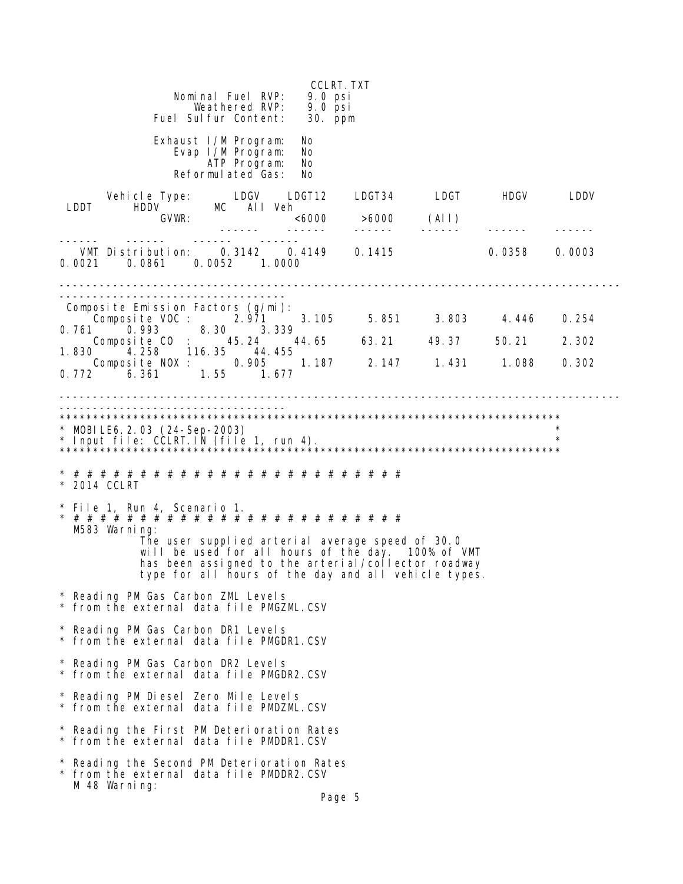CCLRT.TXT Nominal Fuel RVP: 9.0 psi Weathered RVP: 9.0 psi Fuel Sulfur Content: 30. ppm Exhaust I/M Program: No<br>Evap I/M Program: No Evap I/M Program: ATP Program: No Reformulated Gas: No Vehicle Type: LDGV LDGT12 LDGT34 LDGT HDGV LDDV LDDT HDDV MC All Veh GVWR: <6000 >6000 (All) ------ ------ ------ ------ ------ ------ ------ ------ ------ ------ VMT Distribution: 0.3142 0.4149 0.1415 0.0358 0.0003 0.0021 0.0861 0.0052 1.0000 ------------------------------------------------------------------------------------ ---------------------------------- Composite Emission Factors (g/mi): Composite VOC : 2.971 3.105 5.851 3.803 4.446 0.254 0.761 0.993 8.30 3.339 Composite CO : 45.24 44.65 63.21 49.37 50.21 2.302 1.830 4.258 116.35 44.455 Composite NOX : 0.905 1.187 2.147 1.431 1.088 0.302 0.772 6.361 1.55 1.677 ------------------------------------------------------------------------------------ ---------------------------------- \*\*\*\*\*\*\*\*\*\*\*\*\*\*\*\*\*\*\*\*\*\*\*\*\*\*\*\*\*\*\*\*\*\*\*\*\*\*\*\*\*\*\*\*\*\*\*\*\*\*\*\*\*\*\*\*\*\*\*\*\*\*\*\*\*\*\*\*\*\*\*\*\*\*\* \* MOBILE6.2.03 (24-Sep-2003) \* \* Input file: CCLRT.IN (file 1, run 4). \* \*\*\*\*\*\*\*\*\*\*\*\*\*\*\*\*\*\*\*\*\*\*\*\*\*\*\*\*\*\*\*\*\*\*\*\*\*\*\*\*\*\*\*\*\*\*\*\*\*\*\*\*\*\*\*\*\*\*\*\*\*\*\*\*\*\*\*\*\*\*\*\*\*\*\* \* # # # # # # # # # # # # # # # # # # # # # # # # # \* 2014 CCLRT \* File 1, Run 4, Scenario 1. \* # # # # # # # # # # # # # # # # # # # # # # # # # M583 Warning: The user supplied arterial average speed of 30.0 will be used for all hours of the day. 100% of VMT has been assigned to the arterial/collector roadway type for all hours of the day and all vehicle types. \* Reading PM Gas Carbon ZML Levels from the external data file PMGZML.CSV \* Reading PM Gas Carbon DR1 Levels from the external data file PMGDR1.CSV \* Reading PM Gas Carbon DR2 Levels from the external data file PMGDR2.CSV \* Reading PM Diesel Zero Mile Levels from the external data file PMDZML.CSV \* Reading the First PM Deterioration Rates \* from the external data file PMDDR1.CSV \* Reading the Second PM Deterioration Rates \* from the external data file PMDDR2.CSV M 48 Warning: Page 5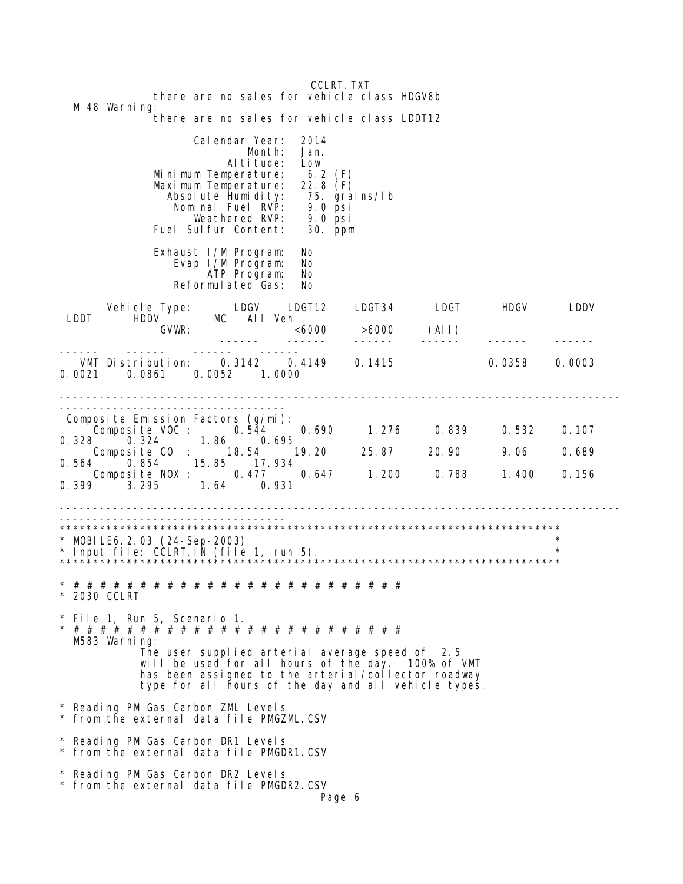CCLRT. TXT there are no sales for vehicle class HDGV8b M 48 Warning: there are no sales for vehicle class LDDT12 Calendar Year: 2014<br>Month: Jan. Month: Altitude: Low Minimum Temperature: 6.2 (F) Maximum Temperature: 22.8 (F) Absolute Humidity: 75. grains/Ib Nominal Fuel RVP: 9.0 psi Weathered RVP: 9.0 psi Fuel Sulfur Content: 30. ppm Exhaust I/M Program: No<br>Fvap I/M Program: No Evap I/M Program: ATP Program: No Reformulated Gas: No Vehicle Type: LDGV LDGT12 LDGT34 LDGT HDGV LDDV LDDT HDDV MC All Veh GVWR: <6000 >6000 (All) ->6000 (AII)<br>------ ------ ------------ ------ ------ ------ VMT Distribution: 0.3142 0.4149 0.1415 0.0358 0.0003 0.0021 0.0861 0.0052 1.0000 ------------------------------------------------------------------------------------ ------------------------------------- Composite Emission Factors (g/mi): Composite VOC : 0.544 0.690 1.276 0.839 0.532 0.107 0.328 0.324 1.86 0.695 Composite CO : 18.54 19.20 25.87 20.90 9.06 0.689 0.564 0.854 15.85 17.934 Composite NOX : 0.477 0.647 1.200 0.788 1.400 0.156 0.399 3.295 1.64 0.931 ------------------------------------------------------------------------------------ ---------------------------------- \*\*\*\*\*\*\*\*\*\*\*\*\*\*\*\*\*\*\*\*\*\*\*\*\*\*\*\*\*\*\*\*\*\*\*\*\*\*\*\*\*\*\*\*\*\*\*\*\*\*\*\*\*\*\*\*\*\*\*\*\*\*\*\*\*\*\*\*\*\*\*\*\*\*\* \* MOBILE6.2.03 (24-Sep-2003) \* \* Input file: CCLRT.IN (file 1, run 5). \* \*\*\*\*\*\*\*\*\*\*\*\*\*\*\*\*\*\*\*\*\*\*\*\*\*\*\*\*\*\*\*\*\*\*\*\*\*\*\*\*\*\*\*\*\*\*\*\*\*\*\*\*\*\*\*\*\*\*\*\*\*\*\*\*\*\*\*\*\*\*\*\*\*\*\* \* # # # # # # # # # # # # # # # # # # # # # # # # # \* 2030 CCLRT \* File 1, Run 5, Scenario 1. \* # # # # # # # # # # # # # # # # # # # # # # # # # M583 Warning: The user supplied arterial average speed of 2.5 will be used for all hours of the day. 100% of VMT has been assigned to the arterial/collector roadway type for all hours of the day and all vehicle types. \* Reading PM Gas Carbon ZML Levels \* from the external data file PMGZML.CSV \* Reading PM Gas Carbon DR1 Levels \* from the external data file PMGDR1.CSV \* Reading PM Gas Carbon DR2 Levels \* from the external data file PMGDR2.CSV Page 6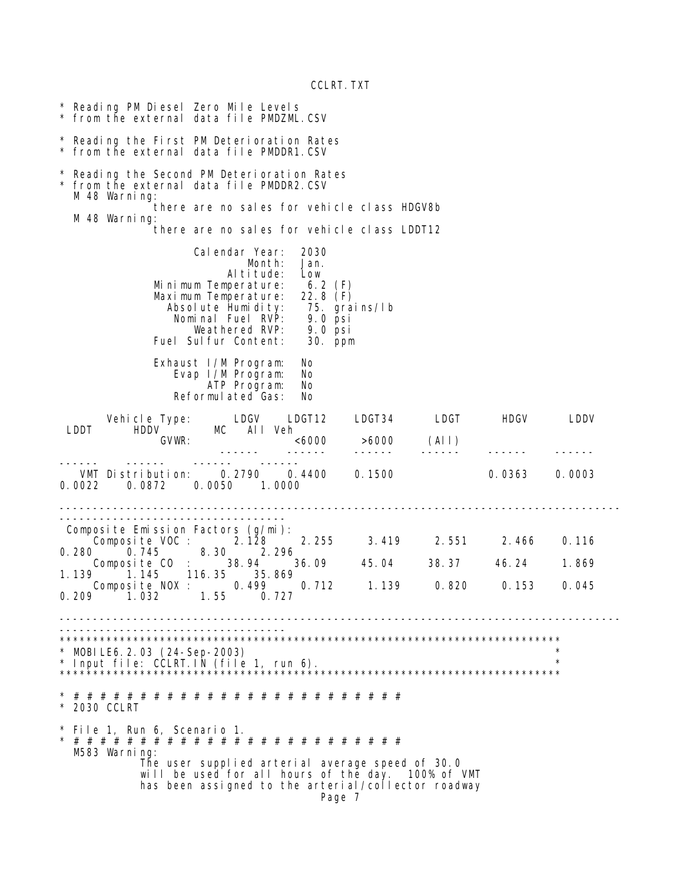CCLRT.TXT

\* Reading PM Diesel Zero Mile Levels from the external data file PMDZML.CSV \* Reading the First PM Deterioration Rates \* from the external data file PMDDR1.CSV \* Reading the Second PM Deterioration Rates from the external data file PMDDR2.CSV M 48 Warning: there are no sales for vehicle class HDGV8b M 48 Warning: there are no sales for vehicle class LDDT12 Calendar Year: 2030<br>Month: Jan. Month: Altitude: Low<br>nperature: 6.2 (F)<br>nperature: 22.8 (F) Minimum Temperature: Maximum Temperature: 22.8 (F)<br>Absolute Humidity: 75. grains/lb<br>Nominal Fuel RVP: 9.0 psi Absolute Humidity: 75. grains/lb Nominal Fuel RVP: 9.0 psi Weathered RVP: 9.0 psi<br>
Sulfur Content: 30. ppm Fuel Sulfur Content: Exhaust I/M Program: No<br>Evap I/M Program: No Evap I/M Program: No ATP Program: Reformulated Gas: No Vehicle Type: LDGV LDGT12 LDGT34 LDGT HDGV LDDV Type: LDGV LD<br>
SUWR: MC All Veh  $< 6000$   $> 6000$  (All) ------ ------ ------ ------ ------ ------ ------ ------ ------ ------ VMT Distribution: 0.2790 0.4400 0.1500 0.0363 0.0003 0.0022 0.0872 0.0050 1.0000 ------------------------------------------------------------------------------------ ---------------------------------- Composite Emission Factors (g/mi): Composite VOC : 2.128 2.255 3.419 2.551 2.466 0.116 0.280 0.745 8.30 2.296 Composite CO : 38.94 36.09 45.04 38.37 46.24 1.869 1.139 1.145 116.35 35.869 Composite NOX : 0.499 0.712 1.139 0.820 0.153 0.045 0.209 1.032 1.55 0.727 ------------------------------------------------------------------------------------ ---------------------------------- \*\*\*\*\*\*\*\*\*\*\*\*\*\*\*\*\*\*\*\*\*\*\*\*\*\*\*\*\*\*\*\*\*\*\*\*\*\*\*\*\*\*\*\*\*\*\*\*\*\*\*\*\*\*\*\*\*\*\*\*\*\*\*\*\*\*\*\*\*\*\*\*\*\*\* \* MOBILE6.2.03 (24-Sep-2003) \* \* Input file: CCLRT.IN (file 1, run 6). \* \*\*\*\*\*\*\*\*\*\*\*\*\*\*\*\*\*\*\*\*\*\*\*\*\*\*\*\*\*\*\*\*\*\*\*\*\*\*\*\*\*\*\*\*\*\*\*\*\*\*\*\*\*\*\*\*\*\*\*\*\*\*\*\*\*\*\*\*\*\*\*\*\*\*\* \* # # # # # # # # # # # # # # # # # # # # # # # # # \* 2030 CCLRT \* File 1, Run 6, Scenario 1. \* # # # # # # # # # # # # # # # # # # # # # # # # # M583 Warning: The user supplied arterial average speed of 30.0 will be used for all hours of the day. 100% of VMT has been assigned to the arterial/collector roadway Page 7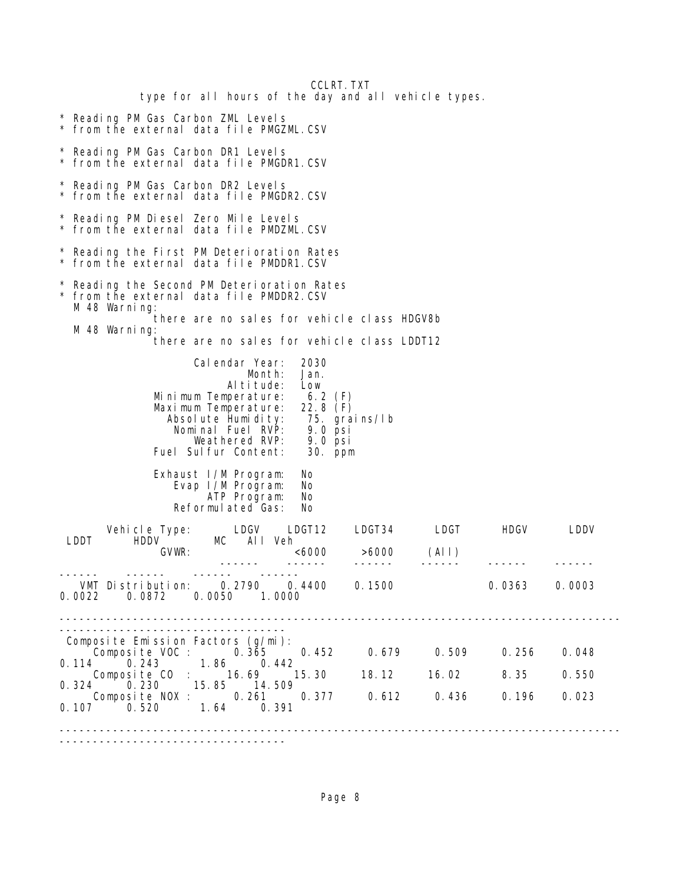| type for all hours of the day and all vehicle types.                                                                                                                                                                                                                                               | <b>CCLRT. TXT</b>     |       |        |                |  |  |  |  |
|----------------------------------------------------------------------------------------------------------------------------------------------------------------------------------------------------------------------------------------------------------------------------------------------------|-----------------------|-------|--------|----------------|--|--|--|--|
| * Reading PM Gas Carbon ZML Levels<br>* from the external data file PMGZML.CSV                                                                                                                                                                                                                     |                       |       |        |                |  |  |  |  |
| * Reading PM Gas Carbon DR1 Levels<br>* from the external data file PMGDR1.CSV                                                                                                                                                                                                                     |                       |       |        |                |  |  |  |  |
| * Reading PM Gas Carbon DR2 Levels<br>* from the external data file PMGDR2.CSV                                                                                                                                                                                                                     |                       |       |        |                |  |  |  |  |
| * Reading PM Diesel Zero Mile Levels<br>* from the external data file PMDZML.CSV                                                                                                                                                                                                                   |                       |       |        |                |  |  |  |  |
| * Reading the First PM Deterioration Rates<br>* from the external data file PMDDR1.CSV                                                                                                                                                                                                             |                       |       |        |                |  |  |  |  |
| Reading the Second PM Deterioration Rates<br>* from the external data file PMDDR2.CSV<br>M 48 Warning:<br>there are no sales for vehicle class HDGV8b                                                                                                                                              |                       |       |        |                |  |  |  |  |
| M 48 Warning:<br>there are no sales for vehicle class LDDT12                                                                                                                                                                                                                                       |                       |       |        |                |  |  |  |  |
| Calendar Year:<br>2030<br>Month:<br>Jan.<br>Altitude:<br>Low<br>Minimum Temperature:<br>$6.2$ (F)<br>$22.8$ (F)<br>Maximum Temperature:<br>Absolute Humidity:<br>75. grai ns/l b<br>Nominal Fuel RVP:<br>$9.0$ psi<br>Weathered RVP:<br>$9.0$ psi<br>Fuel Sulfur Content:<br>30. ppm               |                       |       |        |                |  |  |  |  |
| Exhaust I/M Program:<br>No.<br>No.<br>Evap I/M Program:<br>No.<br>ATP Program:<br>Reformulated Gas:<br>No.                                                                                                                                                                                         |                       |       |        |                |  |  |  |  |
| LDGV<br>LDGT12<br>Vehicle Type:<br><b>HDDV</b><br>MC and the MC and the MC and the MC and the MC and the MC and the MC and the MC and the MC and the MC and the MC and the MC and the MC and the MC and the MC and the MC and the MC and the MC and MC and MC and MC and MC and<br>All Veh<br>LDDT | LDGT34                | LDGT  | HDGV   | LDDV           |  |  |  |  |
| GVWR:<br><6000                                                                                                                                                                                                                                                                                     | >6000                 | (All) |        |                |  |  |  |  |
| VMT Distribution: 0.2790 0.4400 0.1500<br>$0.0022$ $0.0872$<br>0.0050<br>1.0000                                                                                                                                                                                                                    |                       |       | 0.0363 | 0.0003         |  |  |  |  |
| Composite Emission Factors (g/mi):<br>Composite VOC : 0.365 0.452<br>1.86<br>$0.114$ $0.243$<br>0.442<br>Composite CO : 16.69<br>15.30<br>0.324 0.230 15.85 14.509                                                                                                                                 | 0.679   0.509   0.256 |       | 8.35   | 0.048<br>0.550 |  |  |  |  |
| Composite NOX: 0.261 0.377<br>0.520 1.64 0.391<br>$0.107$ $0.520$                                                                                                                                                                                                                                  | 0.612 0.436 0.196     |       |        | 0.023          |  |  |  |  |
|                                                                                                                                                                                                                                                                                                    |                       |       |        |                |  |  |  |  |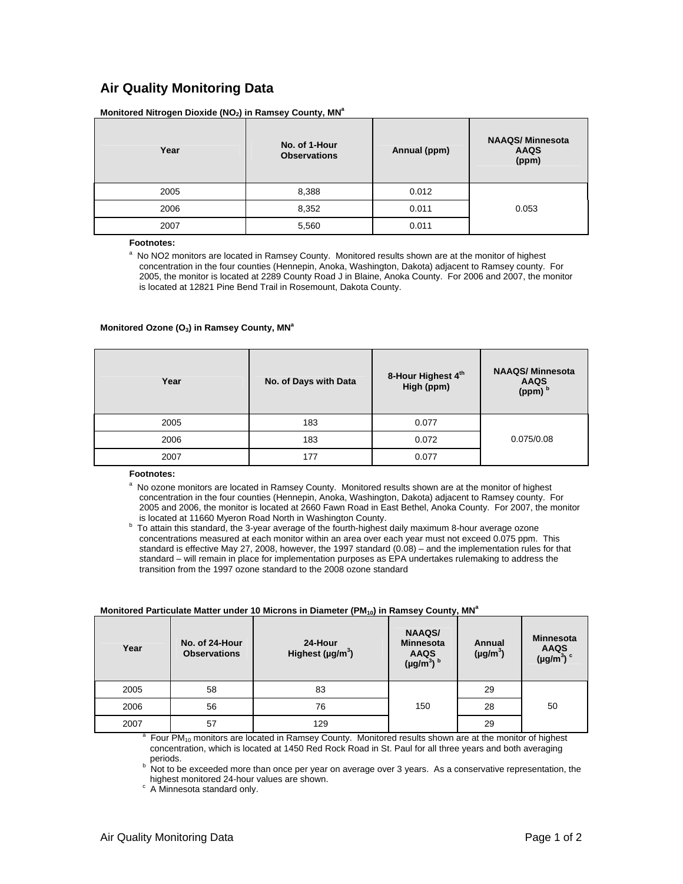### **Air Quality Monitoring Data**

Monitored Nitrogen Dioxide (NO<sub>2</sub>) in Ramsey County, MN<sup>a</sup>

| Year | No. of 1-Hour<br><b>Observations</b> | Annual (ppm) | <b>NAAQS/Minnesota</b><br><b>AAQS</b><br>(ppm) |
|------|--------------------------------------|--------------|------------------------------------------------|
| 2005 | 8,388                                | 0.012        |                                                |
| 2006 | 8,352                                | 0.011        | 0.053                                          |
| 2007 | 5,560                                | 0.011        |                                                |

**Footnotes:** 

<sup>a</sup> No NO2 monitors are located in Ramsey County. Monitored results shown are at the monitor of highest concentration in the four counties (Hennepin, Anoka, Washington, Dakota) adjacent to Ramsey county. For 2005, the monitor is located at 2289 County Road J in Blaine, Anoka County. For 2006 and 2007, the monitor is located at 12821 Pine Bend Trail in Rosemount, Dakota County.

### **Monitored Ozone (O<sub>3</sub>) in Ramsey County, MN<sup>a</sup>**

| Year | No. of Days with Data | 8-Hour Highest 4th<br>High (ppm) | <b>NAAQS/Minnesota</b><br><b>AAQS</b><br>(ppm) b |
|------|-----------------------|----------------------------------|--------------------------------------------------|
| 2005 | 183                   | 0.077                            |                                                  |
| 2006 | 183                   | 0.072                            | 0.075/0.08                                       |
| 2007 | 177                   | 0.077                            |                                                  |

**Footnotes:** 

 No ozone monitors are located in Ramsey County. Monitored results shown are at the monitor of highest concentration in the four counties (Hennepin, Anoka, Washington, Dakota) adjacent to Ramsey county. For 2005 and 2006, the monitor is located at 2660 Fawn Road in East Bethel, Anoka County. For 2007, the monitor is located at 11660 Myeron Road North in Washington County.

<sup>b</sup> To attain this standard, the 3-year average of the fourth-highest daily maximum 8-hour average ozone concentrations measured at each monitor within an area over each year must not exceed 0.075 ppm. This standard is effective May 27, 2008, however, the 1997 standard (0.08) – and the implementation rules for that standard – will remain in place for implementation purposes as EPA undertakes rulemaking to address the transition from the 1997 ozone standard to the 2008 ozone standard

| Year | No. of 24-Hour<br><b>Observations</b> | 24-Hour<br>Highest ( $\mu$ g/m <sup>3</sup> ) | <b>NAAQS/</b><br><b>Minnesota</b><br><b>AAQS</b><br>$(\mu g/m^3)$ <sup>b</sup> | Annual<br>$(\mu g/m^3)$ | <b>Minnesota</b><br>AAQS<br>(µg/m <sup>3</sup> ) $\circ$ |
|------|---------------------------------------|-----------------------------------------------|--------------------------------------------------------------------------------|-------------------------|----------------------------------------------------------|
| 2005 | 58                                    | 83                                            |                                                                                | 29                      |                                                          |
| 2006 | 56                                    | 76                                            | 150                                                                            | 28                      | 50                                                       |
| 2007 | 57                                    | 129                                           |                                                                                | 29                      |                                                          |

### **Monitored Particulate Matter under 10 Microns in Diameter (PM<sub>10</sub>) in Ramsey County, MN<sup>a</sup>**

Four PM<sub>10</sub> monitors are located in Ramsey County. Monitored results shown are at the monitor of highest concentration, which is located at 1450 Red Rock Road in St. Paul for all three years and both averaging periods.

<sup>b</sup> Not to be exceeded more than once per year on average over 3 years. As a conservative representation, the highest monitored 24-hour values are shown.

c A Minnesota standard only.

a